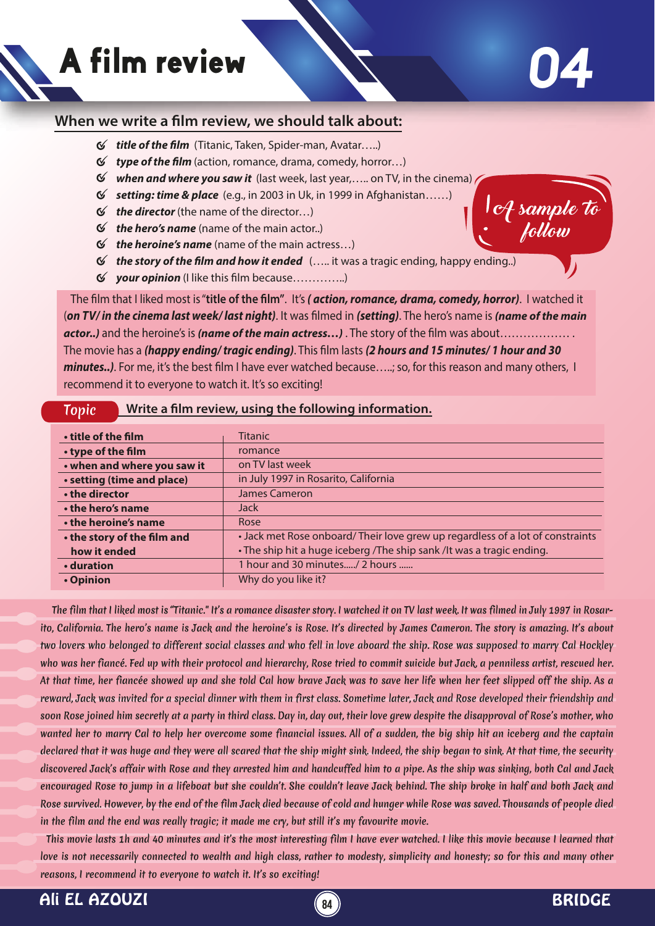



A sample to follow

## **When we write a film review, we should talk about:**

- *title of the lm* (Titanic, Taken, Spider-man, Avatar…..)
- *type of the lm* (action, romance, drama, comedy, horror…)
- *when and where you saw it* (last week, last year,….. on TV, in the cinema)
- *setting: time & place* (e.g., in 2003 in Uk, in 1999 in Afghanistan……)
- $6$  *the director* (the name of the director...)
- *the hero's name* (name of the main actor..)
- *the heroine's name* (name of the main actress…)
- $f$  the story of the film and how it ended  $\langle \dots \rangle$  it was a tragic ending, happy ending..)
- *V* your opinion (I like this film because...............)

The film that I liked most is "title of the film". It's *(action, romance, drama, comedy, horror)*. I watched it (on TV/ in the cinema last week/ last night). It was filmed in *(setting)*. The hero's name is *(name of the main actor..)* and the heroine's is *(name of the main actress...)* . The story of the film was about.................. The movie has a *(happy ending/ tragic ending)*. This film lasts (2 hours and 15 minutes/ 1 hour and 30 *minutes..*). For me, it's the best film I have ever watched because.....; so, for this reason and many others, I recommend it to everyone to watch it. It's so exciting!

| • title of the film         | <b>Titanic</b>                                                                |
|-----------------------------|-------------------------------------------------------------------------------|
| • type of the film          | romance                                                                       |
| • when and where you saw it | on TV last week                                                               |
| • setting (time and place)  | in July 1997 in Rosarito, California                                          |
| • the director              | <b>James Cameron</b>                                                          |
| • the hero's name           | Jack                                                                          |
| • the heroine's name        | Rose                                                                          |
| • the story of the film and | • Jack met Rose onboard/Their love grew up regardless of a lot of constraints |
| how it ended                | • The ship hit a huge iceberg / The ship sank / It was a tragic ending.       |
| • duration                  | 1 hour and 30 minutes/ 2 hours                                                |
| • Opinion                   | Why do you like it?                                                           |

## **Topic •• Write a film review, using the following information.**

 The film that I liked most is "Titanic." It's a romance disaster story. I watched it on TV last week. It was filmed in July 1997 in Rosarito, California. The hero's name is Jack and the heroine's is Rose. It's directed by James Cameron. The story is amazing. It's about two lovers who belonged to different social classes and who fell in love aboard the ship. Rose was supposed to marry Cal Hockley who was her fiancé. Fed up with their protocol and hierarchy, Rose tried to commit suicide but Jack, a penniless artist, rescued her. At that time, her fiancée showed up and she told Cal how brave Jack was to save her life when her feet slipped off the ship. As a reward, Jack was invited for a special dinner with them in first class. Sometime later, Jack and Rose developed their friendship and soon Rose joined him secretly at a party in third class. Day in, day out, their love grew despite the disapproval of Rose's mother, who wanted her to marry Cal to help her overcome some financial issues. All of a sudden, the big ship hit an iceberg and the captain declared that it was huge and they were all scared that the ship might sink. Indeed, the ship began to sink. At that time, the security discovered Jack's affair with Rose and they arrested him and handcuffed him to a pipe. As the ship was sinking, both Cal and Jack encouraged Rose to jump in a lifeboat but she couldn't. She couldn't leave Jack behind. The ship broke in half and both Jack and Rose survived. However, by the end of the film Jack died because of cold and hunger while Rose was saved. Thousands of people died in the film and the end was really tragic; it made me cry, but still it's my favourite movie.

 This movie lasts 1h and 40 minutes and it's the most interesting film I have ever watched. I like this movie because I learned that love is not necessarily connected to wealth and high class, rather to modesty, simplicity and honesty; so for this and many other reasons, I recommend it to everyone to watch it. It's so exciting!